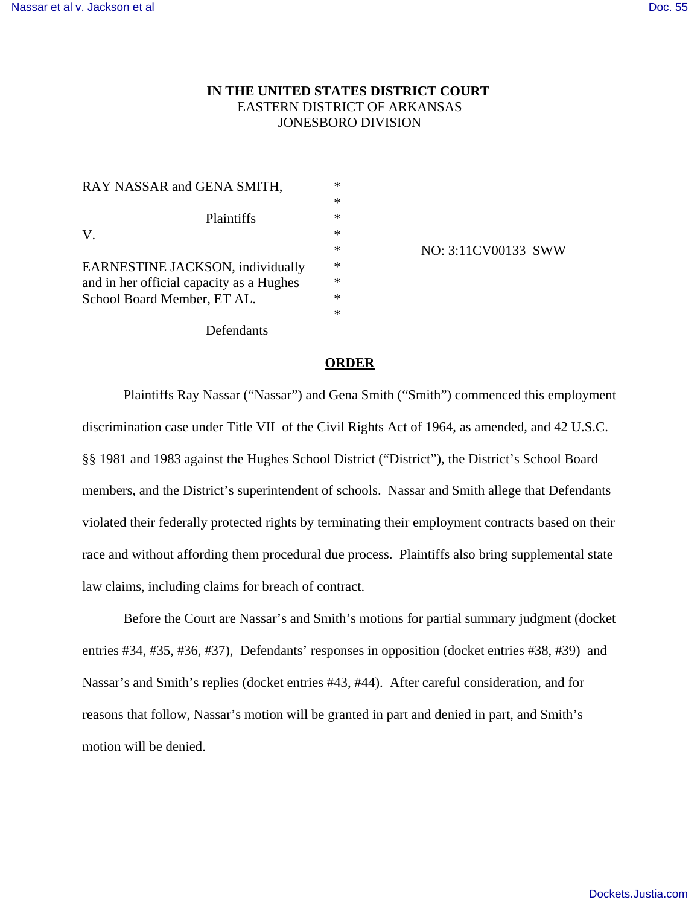# **IN THE UNITED STATES DISTRICT COURT**  EASTERN DISTRICT OF ARKANSAS JONESBORO DIVISION

\* \* \* \* \* \* \* \* \*

| RAY NASSAR and GENA SMITH,                                                                                  |
|-------------------------------------------------------------------------------------------------------------|
| <b>Plaintiffs</b><br>V.                                                                                     |
| EARNESTINE JACKSON, individually<br>and in her official capacity as a Hughes<br>School Board Member, ET AL. |
| <b>N</b> C 1 .                                                                                              |

NO: 3:11CV00133 SWW

Defendants

#### **ORDER**

Plaintiffs Ray Nassar ("Nassar") and Gena Smith ("Smith") commenced this employment discrimination case under Title VII of the Civil Rights Act of 1964, as amended, and 42 U.S.C. §§ 1981 and 1983 against the Hughes School District ("District"), the District's School Board members, and the District's superintendent of schools. Nassar and Smith allege that Defendants violated their federally protected rights by terminating their employment contracts based on their race and without affording them procedural due process. Plaintiffs also bring supplemental state law claims, including claims for breach of contract.

Before the Court are Nassar's and Smith's motions for partial summary judgment (docket entries #34, #35, #36, #37), Defendants' responses in opposition (docket entries #38, #39) and Nassar's and Smith's replies (docket entries #43, #44). After careful consideration, and for reasons that follow, Nassar's motion will be granted in part and denied in part, and Smith's motion will be denied.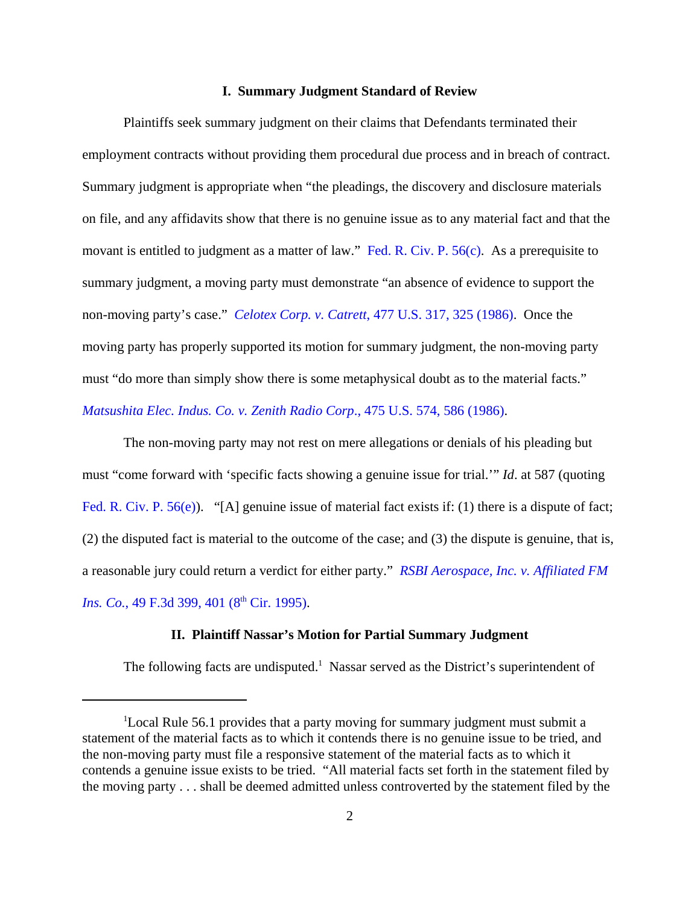### **I. Summary Judgment Standard of Review**

Plaintiffs seek summary judgment on their claims that Defendants terminated their employment contracts without providing them procedural due process and in breach of contract. Summary judgment is appropriate when "the pleadings, the discovery and disclosure materials on file, and any affidavits show that there is no genuine issue as to any material fact and that the movant is entitled to judgment as a matter of law." Fed. R. Civ. P. 56(c). As a prerequisite to summary judgment, a moving party must demonstrate "an absence of evidence to support the non-moving party's case." *Celotex Corp. v. Catrett*, 477 U.S. 317, 325 (1986). Once the moving party has properly supported its motion for summary judgment, the non-moving party must "do more than simply show there is some metaphysical doubt as to the material facts." *Matsushita Elec. Indus. Co. v. Zenith Radio Corp*., 475 U.S. 574, 586 (1986).

The non-moving party may not rest on mere allegations or denials of his pleading but must "come forward with 'specific facts showing a genuine issue for trial.'" *Id*. at 587 (quoting Fed. R. Civ. P. 56(e)). "[A] genuine issue of material fact exists if: (1) there is a dispute of fact; (2) the disputed fact is material to the outcome of the case; and (3) the dispute is genuine, that is, a reasonable jury could return a verdict for either party." *RSBI Aerospace, Inc. v. Affiliated FM Ins. Co.*, 49 F.3d 399, 401 (8<sup>th</sup> Cir. 1995).

### **II. Plaintiff Nassar's Motion for Partial Summary Judgment**

The following facts are undisputed.<sup>1</sup> Nassar served as the District's superintendent of

<sup>1</sup>Local Rule 56.1 provides that a party moving for summary judgment must submit a statement of the material facts as to which it contends there is no genuine issue to be tried, and the non-moving party must file a responsive statement of the material facts as to which it contends a genuine issue exists to be tried. "All material facts set forth in the statement filed by the moving party . . . shall be deemed admitted unless controverted by the statement filed by the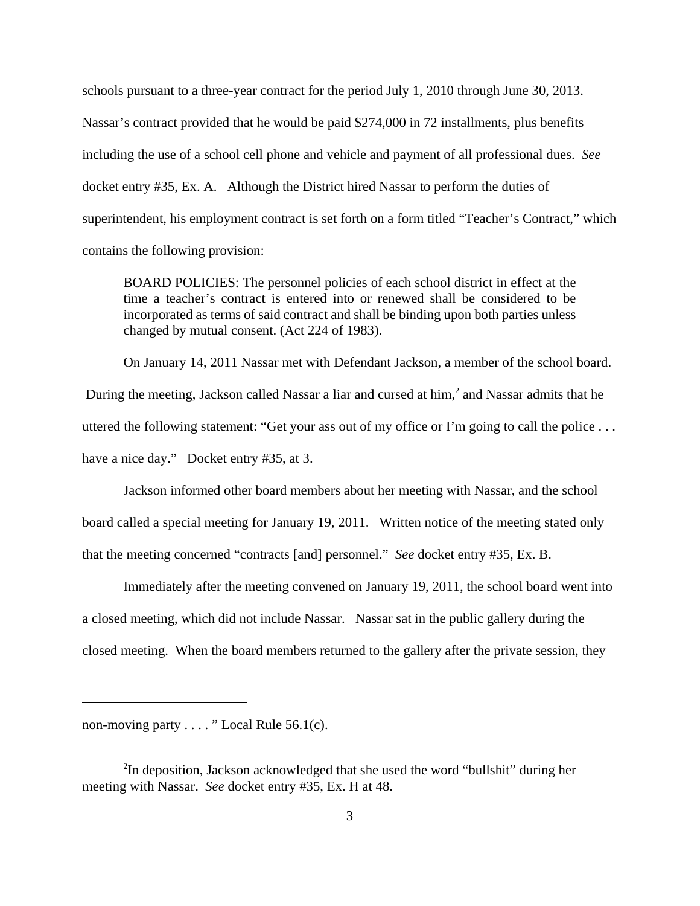schools pursuant to a three-year contract for the period July 1, 2010 through June 30, 2013. Nassar's contract provided that he would be paid \$274,000 in 72 installments, plus benefits including the use of a school cell phone and vehicle and payment of all professional dues. *See* docket entry #35, Ex. A. Although the District hired Nassar to perform the duties of superintendent, his employment contract is set forth on a form titled "Teacher's Contract," which contains the following provision:

BOARD POLICIES: The personnel policies of each school district in effect at the time a teacher's contract is entered into or renewed shall be considered to be incorporated as terms of said contract and shall be binding upon both parties unless changed by mutual consent. (Act 224 of 1983).

On January 14, 2011 Nassar met with Defendant Jackson, a member of the school board. During the meeting, Jackson called Nassar a liar and cursed at him,<sup>2</sup> and Nassar admits that he uttered the following statement: "Get your ass out of my office or I'm going to call the police . . . have a nice day." Docket entry #35, at 3.

Jackson informed other board members about her meeting with Nassar, and the school board called a special meeting for January 19, 2011. Written notice of the meeting stated only that the meeting concerned "contracts [and] personnel." *See* docket entry #35, Ex. B.

Immediately after the meeting convened on January 19, 2011, the school board went into a closed meeting, which did not include Nassar. Nassar sat in the public gallery during the closed meeting. When the board members returned to the gallery after the private session, they

non-moving party . . . . " Local Rule 56.1(c).

<sup>&</sup>lt;sup>2</sup>In deposition, Jackson acknowledged that she used the word "bullshit" during her meeting with Nassar. *See* docket entry #35, Ex. H at 48.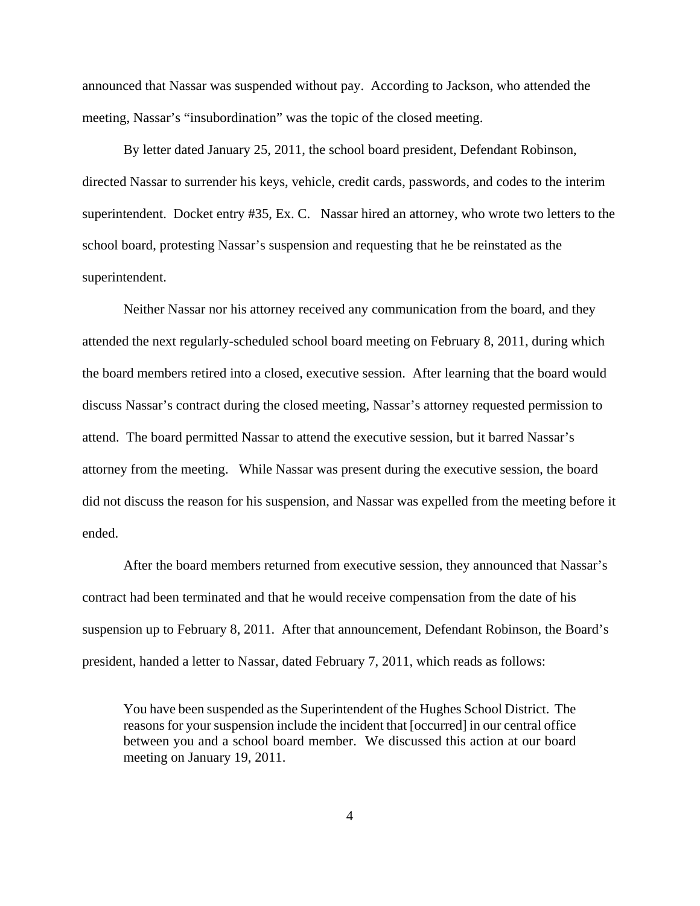announced that Nassar was suspended without pay. According to Jackson, who attended the meeting, Nassar's "insubordination" was the topic of the closed meeting.

By letter dated January 25, 2011, the school board president, Defendant Robinson, directed Nassar to surrender his keys, vehicle, credit cards, passwords, and codes to the interim superintendent. Docket entry #35, Ex. C. Nassar hired an attorney, who wrote two letters to the school board, protesting Nassar's suspension and requesting that he be reinstated as the superintendent.

Neither Nassar nor his attorney received any communication from the board, and they attended the next regularly-scheduled school board meeting on February 8, 2011, during which the board members retired into a closed, executive session. After learning that the board would discuss Nassar's contract during the closed meeting, Nassar's attorney requested permission to attend. The board permitted Nassar to attend the executive session, but it barred Nassar's attorney from the meeting. While Nassar was present during the executive session, the board did not discuss the reason for his suspension, and Nassar was expelled from the meeting before it ended.

After the board members returned from executive session, they announced that Nassar's contract had been terminated and that he would receive compensation from the date of his suspension up to February 8, 2011. After that announcement, Defendant Robinson, the Board's president, handed a letter to Nassar, dated February 7, 2011, which reads as follows:

You have been suspended as the Superintendent of the Hughes School District. The reasons for your suspension include the incident that [occurred] in our central office between you and a school board member. We discussed this action at our board meeting on January 19, 2011.

4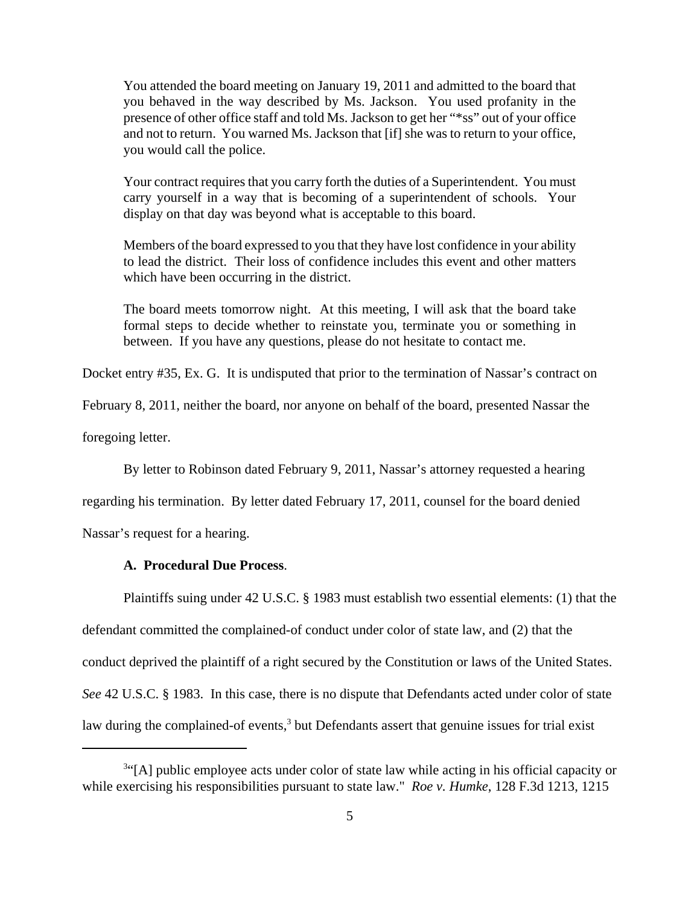You attended the board meeting on January 19, 2011 and admitted to the board that you behaved in the way described by Ms. Jackson. You used profanity in the presence of other office staff and told Ms. Jackson to get her "\*ss" out of your office and not to return. You warned Ms. Jackson that [if] she was to return to your office, you would call the police.

Your contract requires that you carry forth the duties of a Superintendent. You must carry yourself in a way that is becoming of a superintendent of schools. Your display on that day was beyond what is acceptable to this board.

Members of the board expressed to you that they have lost confidence in your ability to lead the district. Their loss of confidence includes this event and other matters which have been occurring in the district.

The board meets tomorrow night. At this meeting, I will ask that the board take formal steps to decide whether to reinstate you, terminate you or something in between. If you have any questions, please do not hesitate to contact me.

Docket entry #35, Ex. G. It is undisputed that prior to the termination of Nassar's contract on

February 8, 2011, neither the board, nor anyone on behalf of the board, presented Nassar the

foregoing letter.

By letter to Robinson dated February 9, 2011, Nassar's attorney requested a hearing

regarding his termination. By letter dated February 17, 2011, counsel for the board denied

Nassar's request for a hearing.

# **A. Procedural Due Process**.

Plaintiffs suing under 42 U.S.C. § 1983 must establish two essential elements: (1) that the defendant committed the complained-of conduct under color of state law, and (2) that the conduct deprived the plaintiff of a right secured by the Constitution or laws of the United States. *See* 42 U.S.C. § 1983. In this case, there is no dispute that Defendants acted under color of state law during the complained-of events,<sup>3</sup> but Defendants assert that genuine issues for trial exist

<sup>&</sup>lt;sup>3"</sup>[A] public employee acts under color of state law while acting in his official capacity or while exercising his responsibilities pursuant to state law." *Roe v. Humke*, 128 F.3d 1213, 1215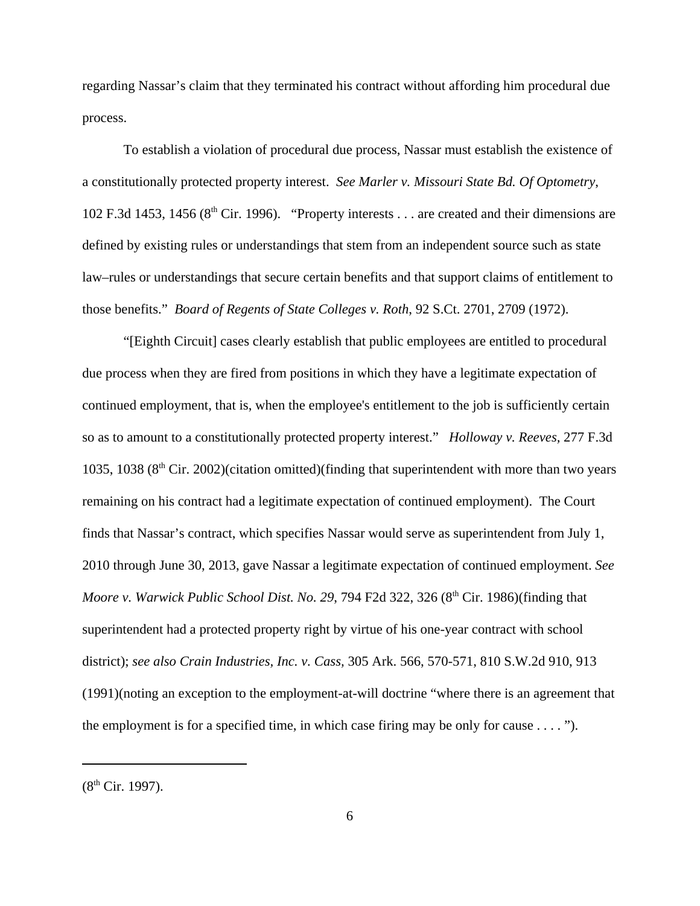regarding Nassar's claim that they terminated his contract without affording him procedural due process.

To establish a violation of procedural due process, Nassar must establish the existence of a constitutionally protected property interest. *See Marler v. Missouri State Bd. Of Optometry*, 102 F.3d 1453, 1456 ( $8<sup>th</sup>$  Cir. 1996). "Property interests . . . are created and their dimensions are defined by existing rules or understandings that stem from an independent source such as state law–rules or understandings that secure certain benefits and that support claims of entitlement to those benefits." *Board of Regents of State Colleges v. Roth*, 92 S.Ct. 2701, 2709 (1972).

"[Eighth Circuit] cases clearly establish that public employees are entitled to procedural due process when they are fired from positions in which they have a legitimate expectation of continued employment, that is, when the employee's entitlement to the job is sufficiently certain so as to amount to a constitutionally protected property interest." *Holloway v. Reeves,* 277 F.3d 1035, 1038 (8<sup>th</sup> Cir. 2002)(citation omitted)(finding that superintendent with more than two years remaining on his contract had a legitimate expectation of continued employment). The Court finds that Nassar's contract, which specifies Nassar would serve as superintendent from July 1, 2010 through June 30, 2013, gave Nassar a legitimate expectation of continued employment. *See Moore v. Warwick Public School Dist. No. 29, 794 F2d 322, 326 (8<sup>th</sup> Cir. 1986)(finding that* superintendent had a protected property right by virtue of his one-year contract with school district); *see also Crain Industries, Inc. v. Cass,* 305 Ark. 566, 570-571, 810 S.W.2d 910, 913 (1991)(noting an exception to the employment-at-will doctrine "where there is an agreement that the employment is for a specified time, in which case firing may be only for cause  $\dots$  ").

 $(8^{th}$  Cir. 1997).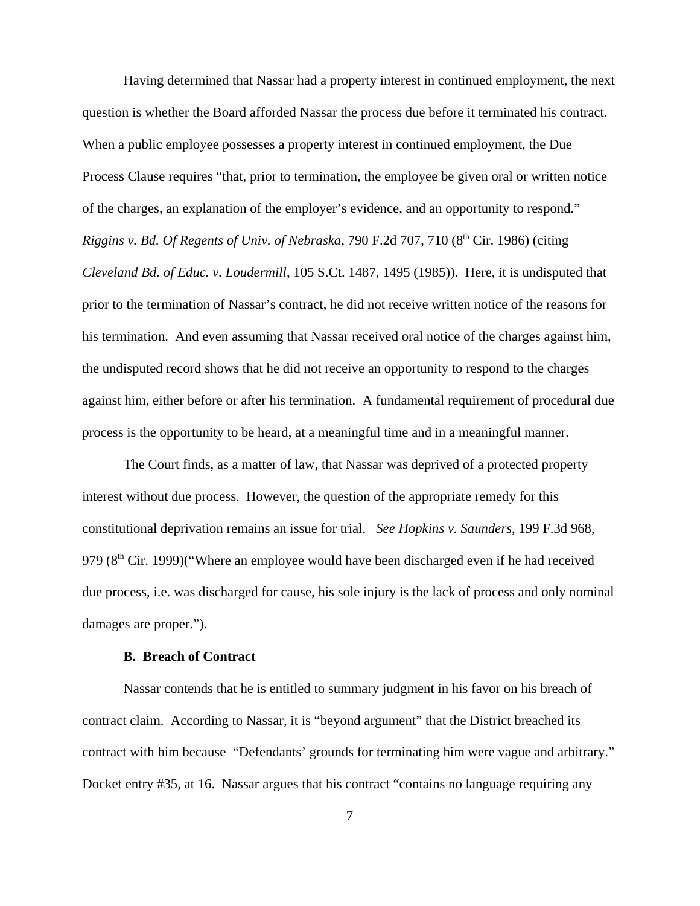Having determined that Nassar had a property interest in continued employment, the next question is whether the Board afforded Nassar the process due before it terminated his contract. When a public employee possesses a property interest in continued employment, the Due Process Clause requires "that, prior to termination, the employee be given oral or written notice of the charges, an explanation of the employer's evidence, and an opportunity to respond." *Riggins v. Bd. Of Regents of Univ. of Nebraska, 790 F.2d 707, 710 (8<sup>th</sup> Cir. 1986) (citing Cleveland Bd. of Educ. v. Loudermill*, 105 S.Ct. 1487, 1495 (1985)). Here, it is undisputed that prior to the termination of Nassar's contract, he did not receive written notice of the reasons for his termination. And even assuming that Nassar received oral notice of the charges against him, the undisputed record shows that he did not receive an opportunity to respond to the charges against him, either before or after his termination. A fundamental requirement of procedural due process is the opportunity to be heard, at a meaningful time and in a meaningful manner.

The Court finds, as a matter of law, that Nassar was deprived of a protected property interest without due process. However, the question of the appropriate remedy for this constitutional deprivation remains an issue for trial. *See Hopkins v. Saunders*, 199 F.3d 968, 979  $(8<sup>th</sup> Cir. 1999)$ ("Where an employee would have been discharged even if he had received due process, i.e. was discharged for cause, his sole injury is the lack of process and only nominal damages are proper.").

#### **B. Breach of Contract**

Nassar contends that he is entitled to summary judgment in his favor on his breach of contract claim. According to Nassar, it is "beyond argument" that the District breached its contract with him because "Defendants' grounds for terminating him were vague and arbitrary." Docket entry #35, at 16. Nassar argues that his contract "contains no language requiring any

7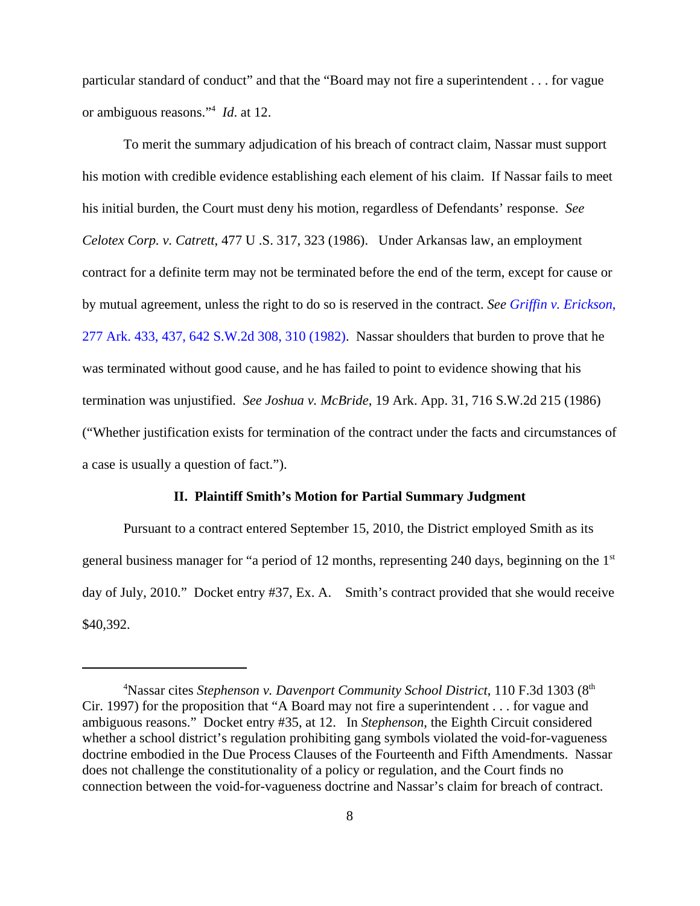particular standard of conduct" and that the "Board may not fire a superintendent . . . for vague or ambiguous reasons."<sup>4</sup> *Id*. at 12.

To merit the summary adjudication of his breach of contract claim, Nassar must support his motion with credible evidence establishing each element of his claim. If Nassar fails to meet his initial burden, the Court must deny his motion, regardless of Defendants' response. *See Celotex Corp. v. Catrett*, 477 U .S. 317, 323 (1986). Under Arkansas law, an employment contract for a definite term may not be terminated before the end of the term, except for cause or by mutual agreement, unless the right to do so is reserved in the contract. *See Griffin v. Erickson*, 277 Ark. 433, 437, 642 S.W.2d 308, 310 (1982). Nassar shoulders that burden to prove that he was terminated without good cause, and he has failed to point to evidence showing that his termination was unjustified. *See Joshua v. McBride*, 19 Ark. App. 31, 716 S.W.2d 215 (1986) ("Whether justification exists for termination of the contract under the facts and circumstances of a case is usually a question of fact.").

#### **II. Plaintiff Smith's Motion for Partial Summary Judgment**

Pursuant to a contract entered September 15, 2010, the District employed Smith as its general business manager for "a period of 12 months, representing 240 days, beginning on the 1<sup>st</sup> day of July, 2010." Docket entry #37, Ex. A. Smith's contract provided that she would receive \$40,392.

<sup>&</sup>lt;sup>4</sup>Nassar cites *Stephenson v. Davenport Community School District*, 110 F.3d 1303 (8<sup>th</sup>) Cir. 1997) for the proposition that "A Board may not fire a superintendent . . . for vague and ambiguous reasons." Docket entry #35, at 12. In *Stephenson*, the Eighth Circuit considered whether a school district's regulation prohibiting gang symbols violated the void-for-vagueness doctrine embodied in the Due Process Clauses of the Fourteenth and Fifth Amendments. Nassar does not challenge the constitutionality of a policy or regulation, and the Court finds no connection between the void-for-vagueness doctrine and Nassar's claim for breach of contract.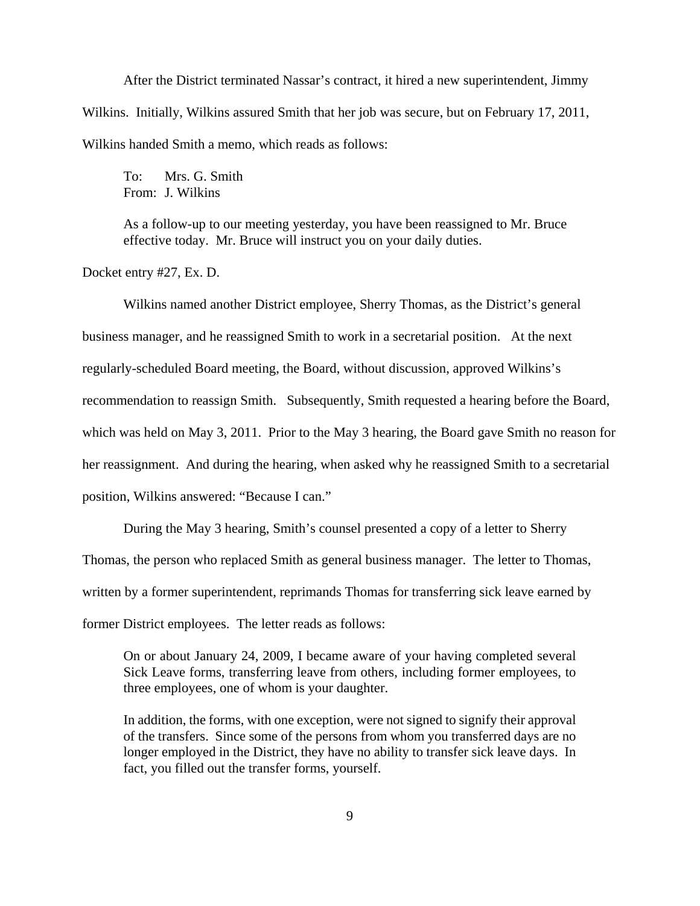After the District terminated Nassar's contract, it hired a new superintendent, Jimmy Wilkins. Initially, Wilkins assured Smith that her job was secure, but on February 17, 2011, Wilkins handed Smith a memo, which reads as follows:

To: Mrs. G. Smith From: J. Wilkins

As a follow-up to our meeting yesterday, you have been reassigned to Mr. Bruce effective today. Mr. Bruce will instruct you on your daily duties.

Docket entry #27, Ex. D.

Wilkins named another District employee, Sherry Thomas, as the District's general business manager, and he reassigned Smith to work in a secretarial position. At the next regularly-scheduled Board meeting, the Board, without discussion, approved Wilkins's recommendation to reassign Smith. Subsequently, Smith requested a hearing before the Board, which was held on May 3, 2011. Prior to the May 3 hearing, the Board gave Smith no reason for her reassignment. And during the hearing, when asked why he reassigned Smith to a secretarial position, Wilkins answered: "Because I can."

During the May 3 hearing, Smith's counsel presented a copy of a letter to Sherry Thomas, the person who replaced Smith as general business manager. The letter to Thomas, written by a former superintendent, reprimands Thomas for transferring sick leave earned by former District employees. The letter reads as follows:

On or about January 24, 2009, I became aware of your having completed several Sick Leave forms, transferring leave from others, including former employees, to three employees, one of whom is your daughter.

In addition, the forms, with one exception, were not signed to signify their approval of the transfers. Since some of the persons from whom you transferred days are no longer employed in the District, they have no ability to transfer sick leave days. In fact, you filled out the transfer forms, yourself.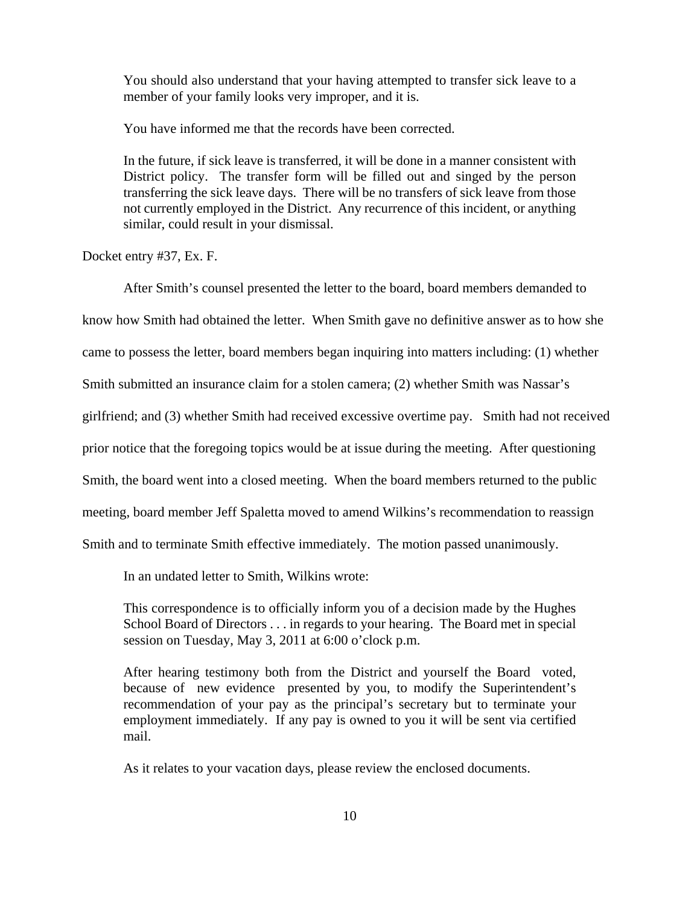You should also understand that your having attempted to transfer sick leave to a member of your family looks very improper, and it is.

You have informed me that the records have been corrected.

In the future, if sick leave is transferred, it will be done in a manner consistent with District policy. The transfer form will be filled out and singed by the person transferring the sick leave days. There will be no transfers of sick leave from those not currently employed in the District. Any recurrence of this incident, or anything similar, could result in your dismissal.

Docket entry #37, Ex. F.

After Smith's counsel presented the letter to the board, board members demanded to

know how Smith had obtained the letter. When Smith gave no definitive answer as to how she

came to possess the letter, board members began inquiring into matters including: (1) whether

Smith submitted an insurance claim for a stolen camera; (2) whether Smith was Nassar's

girlfriend; and (3) whether Smith had received excessive overtime pay. Smith had not received

prior notice that the foregoing topics would be at issue during the meeting. After questioning

Smith, the board went into a closed meeting. When the board members returned to the public

meeting, board member Jeff Spaletta moved to amend Wilkins's recommendation to reassign

Smith and to terminate Smith effective immediately. The motion passed unanimously.

In an undated letter to Smith, Wilkins wrote:

This correspondence is to officially inform you of a decision made by the Hughes School Board of Directors . . . in regards to your hearing. The Board met in special session on Tuesday, May 3, 2011 at 6:00 o'clock p.m.

After hearing testimony both from the District and yourself the Board voted, because of new evidence presented by you, to modify the Superintendent's recommendation of your pay as the principal's secretary but to terminate your employment immediately. If any pay is owned to you it will be sent via certified mail.

As it relates to your vacation days, please review the enclosed documents.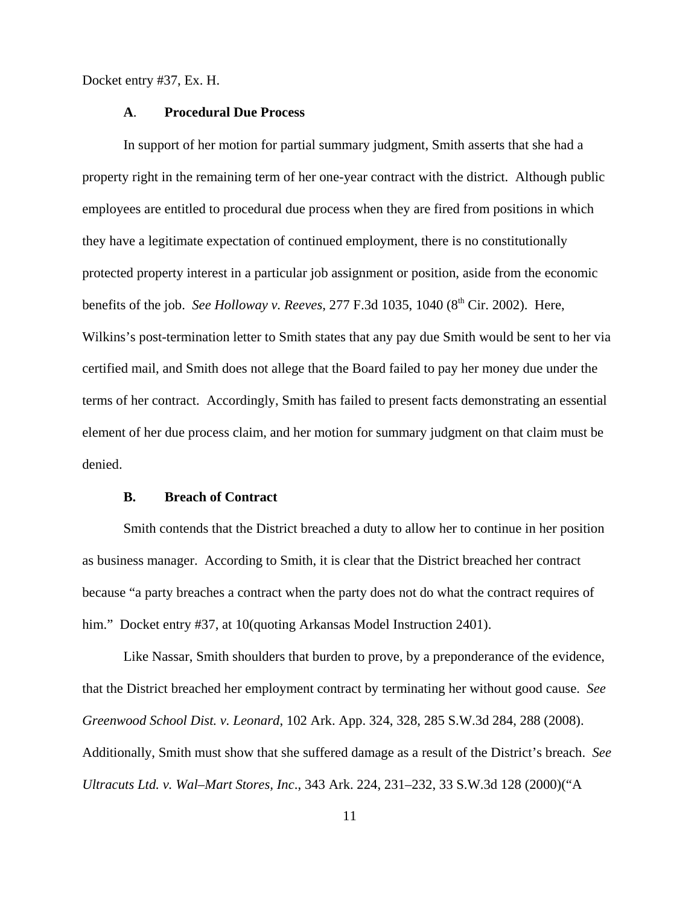Docket entry #37, Ex. H.

# **A**. **Procedural Due Process**

In support of her motion for partial summary judgment, Smith asserts that she had a property right in the remaining term of her one-year contract with the district. Although public employees are entitled to procedural due process when they are fired from positions in which they have a legitimate expectation of continued employment, there is no constitutionally protected property interest in a particular job assignment or position, aside from the economic benefits of the job. *See Holloway v. Reeves*, 277 F.3d 1035, 1040 (8<sup>th</sup> Cir. 2002). Here, Wilkins's post-termination letter to Smith states that any pay due Smith would be sent to her via certified mail, and Smith does not allege that the Board failed to pay her money due under the terms of her contract. Accordingly, Smith has failed to present facts demonstrating an essential element of her due process claim, and her motion for summary judgment on that claim must be denied.

#### **B. Breach of Contract**

Smith contends that the District breached a duty to allow her to continue in her position as business manager. According to Smith, it is clear that the District breached her contract because "a party breaches a contract when the party does not do what the contract requires of him." Docket entry #37, at 10(quoting Arkansas Model Instruction 2401).

Like Nassar, Smith shoulders that burden to prove, by a preponderance of the evidence, that the District breached her employment contract by terminating her without good cause. *See Greenwood School Dist. v. Leonard*, 102 Ark. App. 324, 328, 285 S.W.3d 284, 288 (2008). Additionally, Smith must show that she suffered damage as a result of the District's breach. *See Ultracuts Ltd. v. Wal–Mart Stores, Inc*., 343 Ark. 224, 231–232, 33 S.W.3d 128 (2000)("A